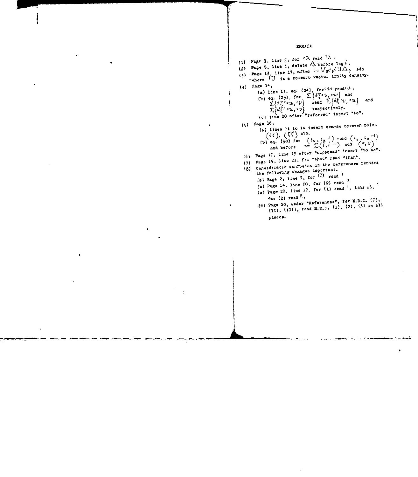## **IRRATA**

ł ļ (1) Page 3, line 2, for  $c \lambda$  read  $l \lambda$ . (2) Page 5, line 1, delete  $\triangle$  before log  $l$ . (3) Page 13, line 17, after  $-V_0 \sigma_9 l U \Delta_9$  add \*where IU is a co-exco vector linity density. (4) Page 14, (a) Line 11, eq. (24), for  $cw$  readoft. (b) eq. (25), for  $\sum \{d\xi c v, c w\}$  and<br>  $\sum \{d\xi' c w, c v\}$  read  $\sum \{d\xi c v, c u\}$  and<br>  $\sum \{d\xi' c w, c v\}$  respectively.<br>
(c) line 20 after "referred" insert "to".  $(5)$  Page 16, (a) lines 11 to 14 insert commas between pairs  $(\ell \ell), (\zeta \zeta)$  sto. (b) eq. (30) for  $(t_{\alpha}, t_{\alpha}^{-1})$  read  $(t_{\alpha}, t_{\alpha}^{-1})$ and before  $= \sum_{i=1}^{n} (\tilde{i}, \tilde{i}^{-1})$  add  $(e, e)$ (6) Page 17, line 19 after "supposed" insert "to be". Page 19, line 21, for "that" read "than". (8) Considerable confusion in the references renders the following changes important. (a) Page 2, line 7, for  $(1)$  read  $($ (b) Page 14, line 20, for (2) read  $2$ (c) Page 20, line 17, for (1) read  $'$ , line 23, for  $(2)$  read  $<sup>2</sup>$ .</sup> (d) Page 20, under "References", for M.D.I. (I), (II), (III), read M.D.I. (1), (2), (3) in all places.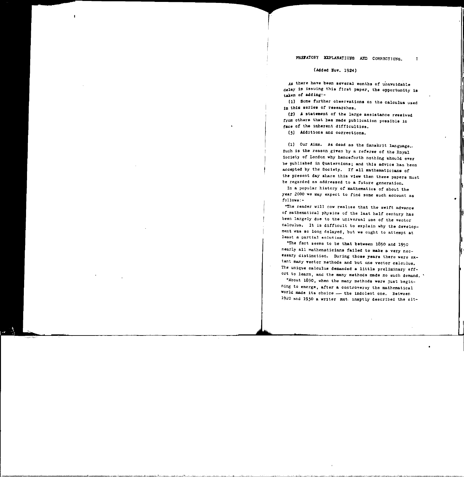## PREFATORY EXPLANATIONS AND CORRECTIONS.

1

•

(Added Bov. 1924)

As there have been several months of unavoidable delay in issuing this first paper, the opportunity is taken *of* adding:-

(1) some turther observations on the calculus used in this series of researches.

(2) A statement of the large assistance received *trom* othere that has made publication possible in face of the inherent difficulties.

(3) Additions and corrections.

(1) Our Aims. As dead as the Sanskrit language., such is the reason\_given by a referee of the Royal Society of London why henceforth nothing should ever be published in Quaternions; and this advice has been accepted by the Society. If all mathematicians of the present day share this view then these papers must be regarde4 as addressed to a future generation.

In a popular histcry of mathematics of about the year 2000 we may expect to find some such account as follows:-

"The reader will now real1se that the swift advance of mathematical physics of the last half century has been largely due to the universal use of the vector calculus. It is difficult to explain why the development was so long delayed, but we ought to attempt at least a partial solution.

"The fact seems to be that between 1850 and 1950 nearly all mathematicians failed to make a very necessary distinction. During those years there were extant many vector methods and but one vector calculus. The unique calculus demanded a little preliminary effort to learn, and the many methods made no such demand.

"About 1890, when the many methods were just beginning to emerge, after a controversy the mathematical world made its choice--- the indolent one. Between 1920 and 1930 a writer not. inaptly described the sit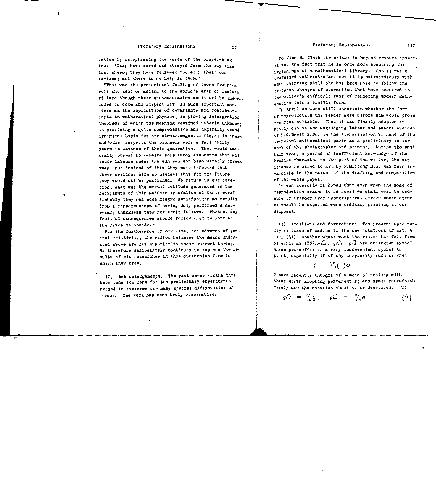uation by paraphrasing the words of the prayer-book thus: 'They have erred and strayed from the way like lost sheep: they have followed too much their own devices; and there is no help in them.'

"What was the predominant feeling of those few pioneers who kept on adding to the world's area of reclaim. ed land though their contemporaries could not be induced duced to come and inspect it? In such important mat. -ters as the application of covariants and contravariants to mathematical physics; in proving intergration theorems of which the meaning remained utterly unknown. in providing a quite comprehensive and logically sound dynamical basis for the electromagnetic field; in these and other respects the pioneers were a full thirty vears in advance of their generation. They would naturally expect to receive some tardy assurance that all their labours under the sun had not been utterly thrown away, but instead of this they were informed that their writings were so useless that for the future they would not be published. We return to our question, what was the mental attitude generated in the recipients of this uniform ignoration of their work? Probably they had such meagre satisfaction as results from a consciousness of having duly performed a necessary thankless task for their fellows. Whether any fruitful consequences should follow must be left to the fates to decide."

For the furtherance of our aims, the advance of general relativity, the writer believes the means indicated above are far superior to those current to-day. He therefore deliberately continues to express the results of his researches in that quaternion form in which they grew.

(2) Acknowledgements. The past seven months have been none too long for the preliminary experiments needed to overcome the many special difficulties of issue. The work has been truly cooperative.

To Miss M. Clark the writer is beyond measure indebtof for the fact that he is once more acquiring the heginnings of a mathematical library. She is not a professed mathematician, but it is extracrdinary with what unerring skill she has been able to follow the tortuous changes of convention that have occurred in the writer's difficult task of rendering modern mathamatics into a braille form.

In April we were still uncertain whether the form of reproduction the reader sees before him would prove the most suitable. That it was finally adopted is mostly due to the ungrudging labour and patent success of R.G. Brett B.Sc. in the transcription by hand of the technical mathematical parts as a preliminary to the work of the photographer and printer. During the past half year, a period of inefficient knowledge of the braille character on the part of the writer, the assistance rendered to him by F.M. Young B.A. has been invaluable in the matter of the drafting and composition of the whole paper.

It can scarcely be hoped that even when the mode of reproduction ceases to be novel we shall ever be capable of freedom from typographical errors whose absence should be expected were ordinary printing at our disposal.

(3) Additions and Corrections. The present opportunity is taken of adding to the new notations of Art. 5 eq. (31) another whose want the writer has felt from as early as  $1887.7\triangle$ ,  $q\triangle$ ,  $q\triangle$  are analogous symbols whose pre-suffix is a very inconvenient symbol to print, especially if of any complexity such as when

$$
\phi = V_{i}(\ )\omega
$$

I have recently thought of a mode of dealing with these worth adopting permanently; and shall henceforth freely use the notation about to be described. Put

$$
q\Delta = \%q, \quad \phi(I) = \% \phi \qquad (A)
$$

IJ